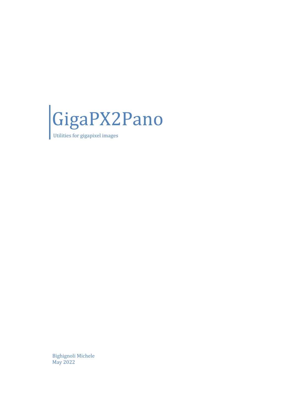

Utilities for gigapixel images

Bighignoli Michele May 2022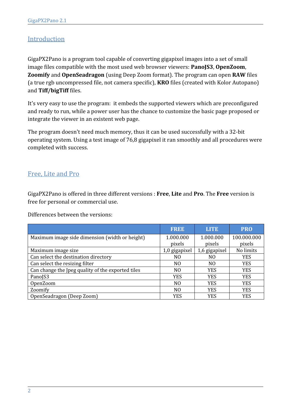## Introduction

GigaPX2Pano is a program tool capable of converting gigapixel images into a set of small image files compatible with the most used web browser viewers: **PanoJS3**, **OpenZoom**, **Zoomify** and **OpenSeadragon** (using Deep Zoom format). The program can open **RAW** files (a true rgb uncompressed file, not camera specific), **KRO** files (created with Kolor Autopano) and **Tiff/bigTiff** files.

It's very easy to use the program: it embeds the supported viewers which are preconfigured and ready to run, while a power user has the chance to customize the basic page proposed or integrate the viewer in an existent web page.

The program doesn't need much memory, thus it can be used successfully with a 32-bit operating system. Using a test image of 76,8 gigapixel it ran smoothly and all procedures were completed with success.

## Free, Lite and Pro

GigaPX2Pano is offered in three different versions : **Free**, **Lite** and **Pro**. The **Free** version is free for personal or commercial use.

Differences between the versions:

|                                                   | <b>FREE</b>    | <b>LITE</b>    | <b>PRO</b>  |
|---------------------------------------------------|----------------|----------------|-------------|
| Maximum image side dimension (width or height)    | 1.000.000      | 1.000.000      | 100.000.000 |
|                                                   | pixels         | pixels         | pixels      |
| Maximum image size                                | 1,0 gigapixel  | 1,6 gigapixel  | No limits   |
| Can select the destination directory              | NO.            | NO             | <b>YES</b>  |
| Can select the resizing filter                    | NO.            | N <sub>0</sub> | <b>YES</b>  |
| Can change the Jpeg quality of the exported tiles | N <sub>O</sub> | <b>YES</b>     | <b>YES</b>  |
| PanoJS3                                           | <b>YES</b>     | <b>YES</b>     | <b>YES</b>  |
| OpenZoom                                          | NO.            | <b>YES</b>     | <b>YES</b>  |
| Zoomify                                           | N <sub>O</sub> | <b>YES</b>     | <b>YES</b>  |
| OpenSeadragon (Deep Zoom)                         | <b>YES</b>     | <b>YES</b>     | <b>YES</b>  |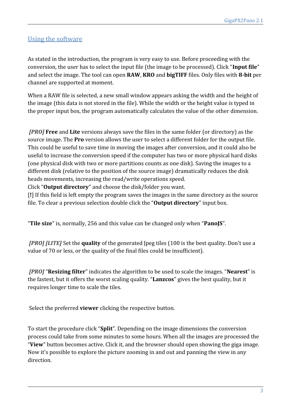## Using the software

As stated in the introduction, the program is very easy to use. Before proceeding with the conversion, the user has to select the input file (the image to be processed). Click "**Input file**" and select the image. The tool can open **RAW**, **KRO** and **bigTIFF** files. Only files with **8-bit** per channel are supported at moment.

When a RAW file is selected, a new small window appears asking the width and the height of the image (this data is not stored in the file). While the width or the height value is typed in the proper input box, the program automatically calculates the value of the other dimension.

 *[PRO]* **Free** and **Lite** versions always save the files in the same folder (or directory) as the source image. The **Pro** version allows the user to select a different folder for the output file. This could be useful to save time in moving the images after conversion, and it could also be useful to increase the conversion speed if the computer has two or more physical hard disks (one physical disk with two or more partitions counts as one disk). Saving the images to a different disk (relative to the position of the source image) dramatically reduces the disk heads movements, increasing the read/write operations speed.

Click "**Output directory**" and choose the disk/folder you want.

[**!**] If this field is left empty the program saves the images in the same directory as the source file. To clear a previous selection double click the "**Output directory**" input box.

"**Tile size**" is, normally, 256 and this value can be changed only when "**PanoJS**".

 *[PRO] [LITE]* Set the **quality** of the generated Jpeg tiles (100 is the best quality. Don't use a value of 70 or less, or the quality of the final files could be insufficient).

 *[PRO]* "**Resizing filter**" indicates the algorithm to be used to scale the images. "**Nearest**" is the fastest, but it offers the worst scaling quality. "**Lanzcos**" gives the best quality, but it requires longer time to scale the tiles.

Select the preferred **viewer** clicking the respective button.

To start the procedure click "**Split**". Depending on the image dimensions the conversion process could take from some minutes to some hours. When all the images are processed the "**View**" button becomes active. Click it, and the browser should open showing the giga image. Now it's possible to explore the picture zooming in and out and panning the view in any direction.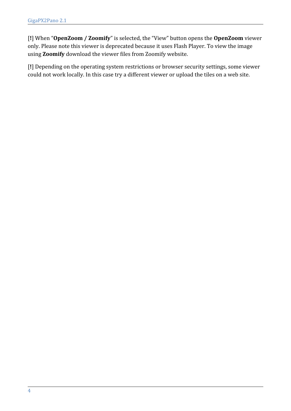[**!**] When "**OpenZoom / Zoomify**" is selected, the "View" button opens the **OpenZoom** viewer only. Please note this viewer is deprecated because it uses Flash Player. To view the image using **Zoomify** download the viewer files from Zoomify website.

[**!**] Depending on the operating system restrictions or browser security settings, some viewer could not work locally. In this case try a different viewer or upload the tiles on a web site.